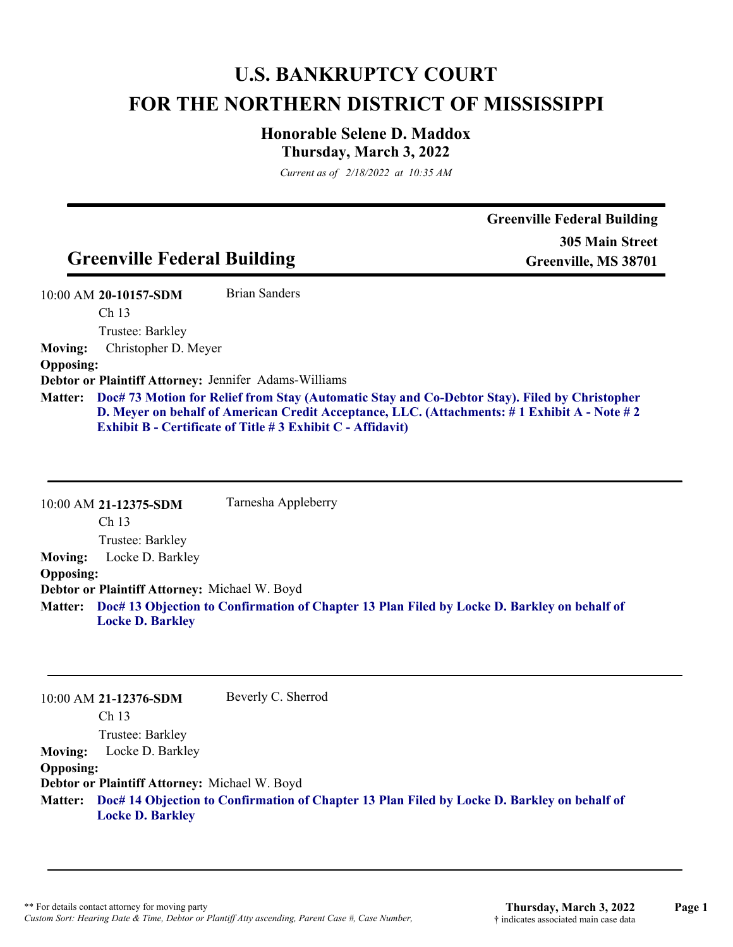## **U.S. BANKRUPTCY COURT FOR THE NORTHERN DISTRICT OF MISSISSIPPI**

## **Honorable Selene D. Maddox Thursday, March 3, 2022**

*Current as of 2/18/2022 at 10:35 AM*

|                                        | <b>Greenville Federal Building</b>                           | <b>Greenville Federal Building</b><br><b>305 Main Street</b><br>Greenville, MS 38701                                                                                                                        |
|----------------------------------------|--------------------------------------------------------------|-------------------------------------------------------------------------------------------------------------------------------------------------------------------------------------------------------------|
|                                        |                                                              |                                                                                                                                                                                                             |
| 10:00 AM 20-10157-SDM                  | Brian Sanders                                                |                                                                                                                                                                                                             |
| Ch <sub>13</sub>                       |                                                              |                                                                                                                                                                                                             |
| Trustee: Barkley                       |                                                              |                                                                                                                                                                                                             |
| Christopher D. Meyer<br><b>Moving:</b> |                                                              |                                                                                                                                                                                                             |
| <b>Opposing:</b>                       |                                                              |                                                                                                                                                                                                             |
|                                        | <b>Debtor or Plaintiff Attorney: Jennifer Adams-Williams</b> |                                                                                                                                                                                                             |
|                                        |                                                              | Matter: Doc# 73 Motion for Relief from Stay (Automatic Stay and Co-Debtor Stay). Filed by Christopher<br><b>D. Meyer on behalf of American Credit Acceptance, LLC. (Attachments: #1 Exhibit A - Note #2</b> |

10:00 AM **21-12375-SDM**  Ch 13 Trustee: Barkley Tarnesha Appleberry **Moving:** Locke D. Barkley **Opposing: Debtor or Plaintiff Attorney:** Michael W. Boyd **Doc# 13 Objection to Confirmation of Chapter 13 Plan Filed by Locke D. Barkley on behalf of Matter: Locke D. Barkley**

**Exhibit B - Certificate of Title # 3 Exhibit C - Affidavit)**

10:00 AM **21-12376-SDM**  Ch 13 Trustee: Barkley Beverly C. Sherrod **Moving:** Locke D. Barkley **Opposing: Debtor or Plaintiff Attorney:** Michael W. Boyd **Doc# 14 Objection to Confirmation of Chapter 13 Plan Filed by Locke D. Barkley on behalf of Matter: Locke D. Barkley**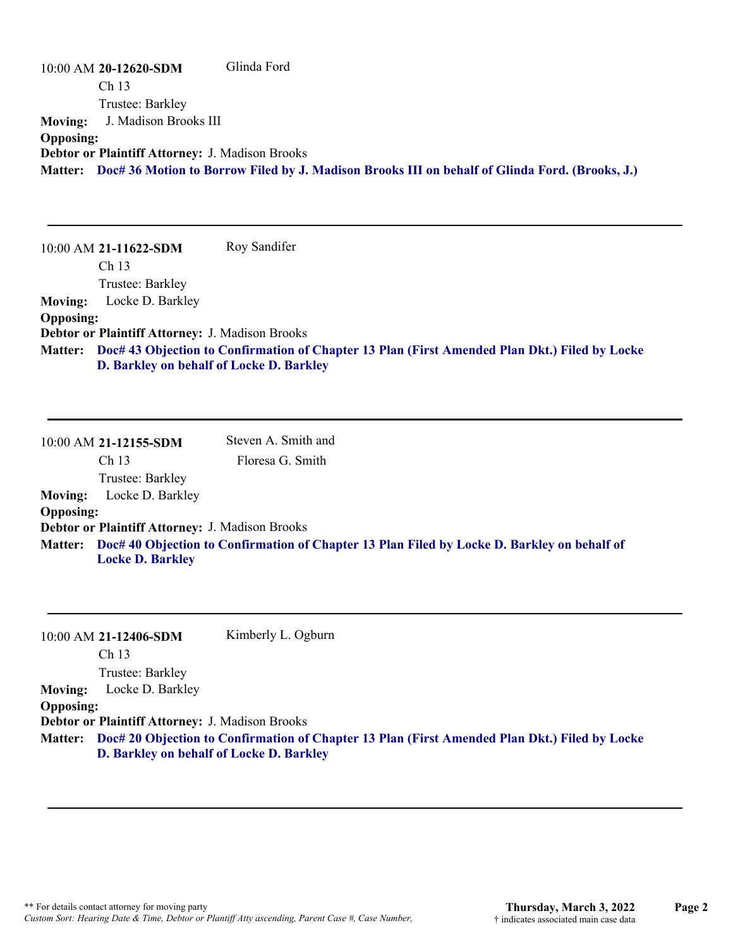10:00 AM **20-12620-SDM**  Ch 13 Trustee: Barkley Glinda Ford **Moving:** J. Madison Brooks III **Opposing: Debtor or Plaintiff Attorney:** J. Madison Brooks **Matter: Doc# 36 Motion to Borrow Filed by J. Madison Brooks III on behalf of Glinda Ford. (Brooks, J.)**

10:00 AM **21-11622-SDM**  Ch 13 Trustee: Barkley Roy Sandifer **Moving:** Locke D. Barkley **Opposing: Debtor or Plaintiff Attorney:** J. Madison Brooks **Doc# 43 Objection to Confirmation of Chapter 13 Plan (First Amended Plan Dkt.) Filed by Locke Matter: D. Barkley on behalf of Locke D. Barkley**

10:00 AM **21-12155-SDM**  Ch 13 Trustee: Barkley Steven A. Smith and Floresa G. Smith **Moving:** Locke D. Barkley **Opposing: Debtor or Plaintiff Attorney:** J. Madison Brooks **Doc# 40 Objection to Confirmation of Chapter 13 Plan Filed by Locke D. Barkley on behalf of Matter: Locke D. Barkley**

|                  | 10:00 AM 21-12406-SDM                           | Kimberly L. Ogburn                                                                                    |
|------------------|-------------------------------------------------|-------------------------------------------------------------------------------------------------------|
|                  | Ch <sub>13</sub>                                |                                                                                                       |
|                  | Trustee: Barkley                                |                                                                                                       |
| <b>Moving:</b>   | Locke D. Barkley                                |                                                                                                       |
| <b>Opposing:</b> |                                                 |                                                                                                       |
|                  | Debtor or Plaintiff Attorney: J. Madison Brooks |                                                                                                       |
|                  |                                                 | Matter: Doc# 20 Objection to Confirmation of Chapter 13 Plan (First Amended Plan Dkt.) Filed by Locke |
|                  | D. Barkley on behalf of Locke D. Barkley        |                                                                                                       |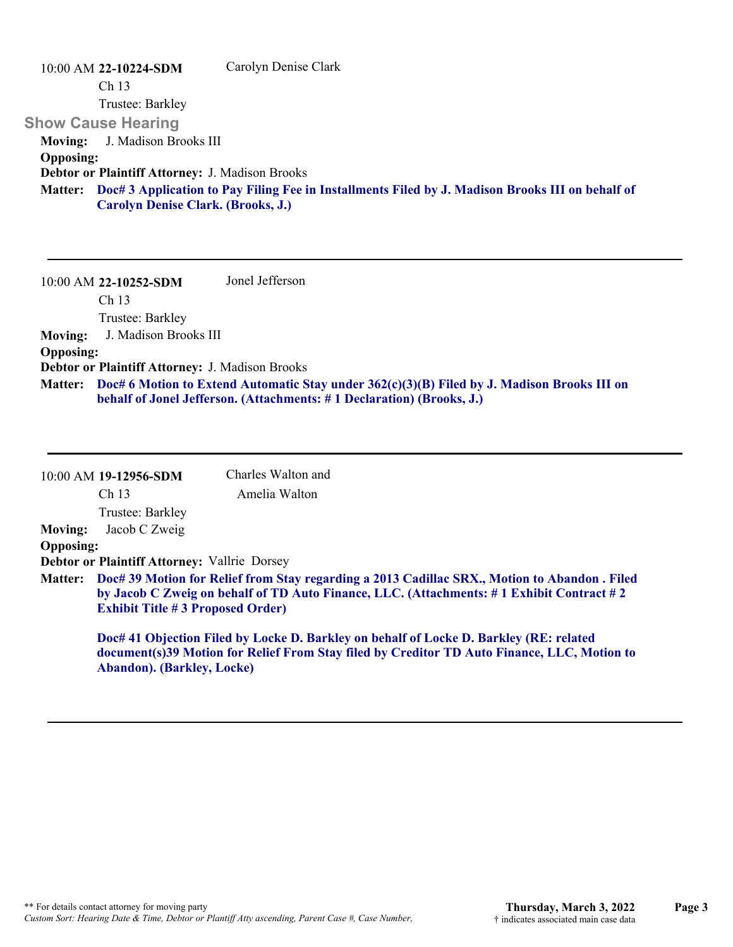| 10:00 AM 22-10224-SDM                                  | Carolyn Denise Clark                                                                                     |
|--------------------------------------------------------|----------------------------------------------------------------------------------------------------------|
| Ch <sub>13</sub>                                       |                                                                                                          |
| Trustee: Barkley                                       |                                                                                                          |
| <b>Show Cause Hearing</b>                              |                                                                                                          |
| J. Madison Brooks III<br><b>Moving:</b>                |                                                                                                          |
| <b>Opposing:</b>                                       |                                                                                                          |
| <b>Debtor or Plaintiff Attorney: J. Madison Brooks</b> |                                                                                                          |
|                                                        | Matter: Doc# 3 Application to Pay Filing Fee in Installments Filed by J. Madison Brooks III on behalf of |
| <b>Carolyn Denise Clark. (Brooks, J.)</b>              |                                                                                                          |

10:00 AM **22-10252-SDM**  Ch 13 Trustee: Barkley Jonel Jefferson **Moving:** J. Madison Brooks III **Opposing: Debtor or Plaintiff Attorney:** J. Madison Brooks **Doc# 6 Motion to Extend Automatic Stay under 362(c)(3)(B) Filed by J. Madison Brooks III on Matter: behalf of Jonel Jefferson. (Attachments: # 1 Declaration) (Brooks, J.)**

|                  | 10:00 AM 19-12956-SDM                                                                                                                                                                                                                        | Charles Walton and                                                                                                                                                                    |  |
|------------------|----------------------------------------------------------------------------------------------------------------------------------------------------------------------------------------------------------------------------------------------|---------------------------------------------------------------------------------------------------------------------------------------------------------------------------------------|--|
|                  | Ch <sub>13</sub>                                                                                                                                                                                                                             | Amelia Walton                                                                                                                                                                         |  |
|                  | Trustee: Barkley                                                                                                                                                                                                                             |                                                                                                                                                                                       |  |
| <b>Moving:</b>   | Jacob C Zweig                                                                                                                                                                                                                                |                                                                                                                                                                                       |  |
| <b>Opposing:</b> |                                                                                                                                                                                                                                              |                                                                                                                                                                                       |  |
|                  | <b>Debtor or Plaintiff Attorney: Vallrie Dorsey</b>                                                                                                                                                                                          |                                                                                                                                                                                       |  |
|                  | Matter: Doc# 39 Motion for Relief from Stay regarding a 2013 Cadillac SRX., Motion to Abandon . Filed<br>by Jacob C Zweig on behalf of TD Auto Finance, LLC. (Attachments: #1 Exhibit Contract #2<br><b>Exhibit Title #3 Proposed Order)</b> |                                                                                                                                                                                       |  |
|                  | <b>Abandon</b> ). (Barkley, Locke)                                                                                                                                                                                                           | Doc# 41 Objection Filed by Locke D. Barkley on behalf of Locke D. Barkley (RE: related<br>document(s)39 Motion for Relief From Stay filed by Creditor TD Auto Finance, LLC, Motion to |  |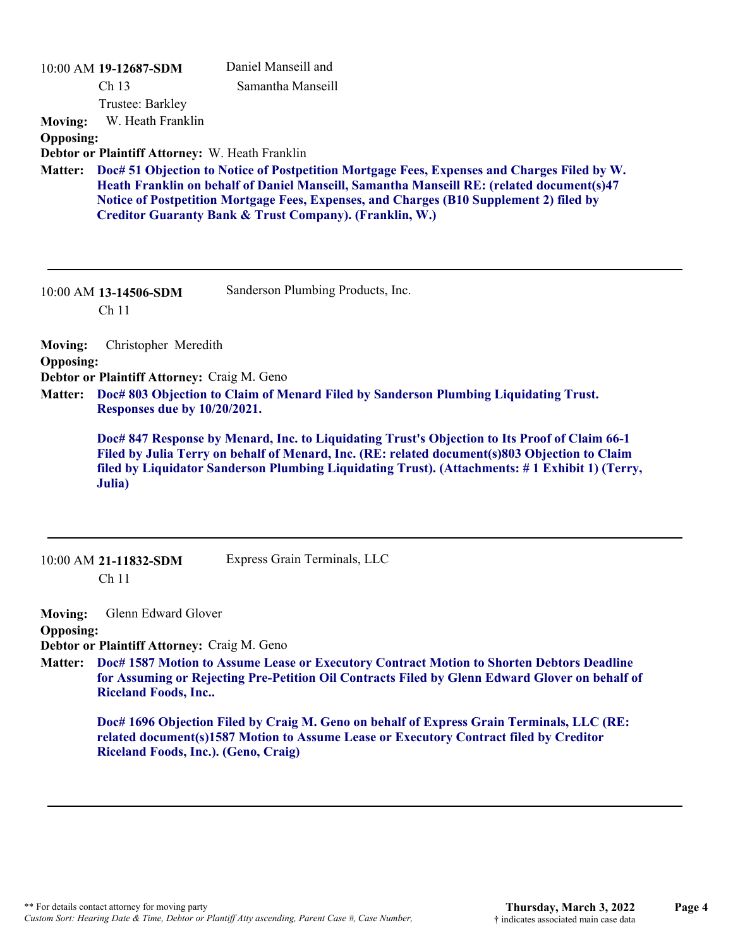| <b>Moving:</b><br><b>Opposing:</b> | 10:00 AM 19-12687-SDM<br>Ch <sub>13</sub><br>Trustee: Barkley<br>W. Heath Franklin      | Daniel Manseill and<br>Samantha Manseill                                                                                                                                                                                                                                                                                                                  |  |
|------------------------------------|-----------------------------------------------------------------------------------------|-----------------------------------------------------------------------------------------------------------------------------------------------------------------------------------------------------------------------------------------------------------------------------------------------------------------------------------------------------------|--|
| <b>Matter:</b>                     | Debtor or Plaintiff Attorney: W. Heath Franklin                                         | Doc# 51 Objection to Notice of Postpetition Mortgage Fees, Expenses and Charges Filed by W.<br>Heath Franklin on behalf of Daniel Manseill, Samantha Manseill RE: (related document(s)47<br>Notice of Postpetition Mortgage Fees, Expenses, and Charges (B10 Supplement 2) filed by<br><b>Creditor Guaranty Bank &amp; Trust Company). (Franklin, W.)</b> |  |
|                                    | 10:00 AM 13-14506-SDM<br>Ch <sub>11</sub>                                               | Sanderson Plumbing Products, Inc.                                                                                                                                                                                                                                                                                                                         |  |
| <b>Moving:</b>                     | Christopher Meredith<br><b>Opposing:</b><br>Debtor or Plaintiff Attorney: Craig M. Geno |                                                                                                                                                                                                                                                                                                                                                           |  |
| <b>Matter:</b>                     | Responses due by 10/20/2021.                                                            | Doc# 803 Objection to Claim of Menard Filed by Sanderson Plumbing Liquidating Trust.<br>Doc# 847 Response by Menard, Inc. to Liquidating Trust's Objection to Its Proof of Claim 66-1                                                                                                                                                                     |  |
|                                    | Julia)                                                                                  | Filed by Julia Terry on behalf of Menard, Inc. (RE: related document(s)803 Objection to Claim<br>filed by Liquidator Sanderson Plumbing Liquidating Trust). (Attachments: #1 Exhibit 1) (Terry,                                                                                                                                                           |  |
|                                    | 10:00 AM 21-11832-SDM<br>Ch <sub>11</sub>                                               | Express Grain Terminals, LLC                                                                                                                                                                                                                                                                                                                              |  |
| <b>Moving:</b><br><b>Opposing:</b> | Glenn Edward Glover<br>Debtor or Plaintiff Attorney: Craig M. Geno                      | Matter:     Doc# 1587 Motion to Assume Lease or Executory Contract Motion to Shorten Debtors Deadline                                                                                                                                                                                                                                                     |  |

**Doc# 1587 Motion to Assume Lease or Executory Contract Motion to Shorten Debtors Deadline for Assuming or Rejecting Pre-Petition Oil Contracts Filed by Glenn Edward Glover on behalf of Riceland Foods, Inc.. Matter:**

**Doc# 1696 Objection Filed by Craig M. Geno on behalf of Express Grain Terminals, LLC (RE: related document(s)1587 Motion to Assume Lease or Executory Contract filed by Creditor Riceland Foods, Inc.). (Geno, Craig)**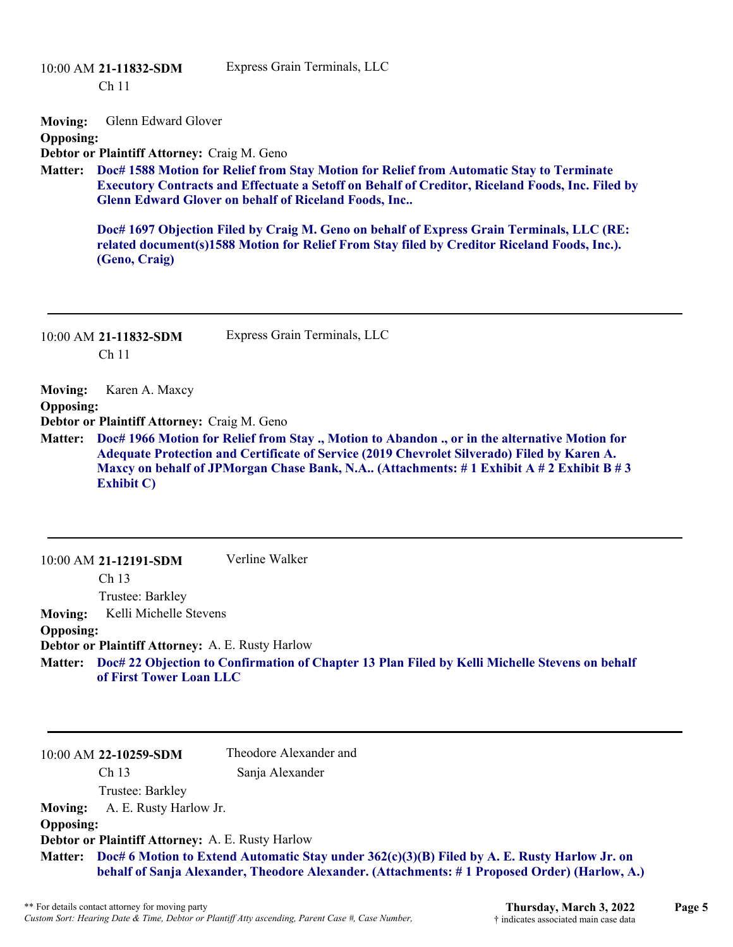10:00 AM **21-11832-SDM**  Ch 11 Express Grain Terminals, LLC **Moving:** Glenn Edward Glover **Opposing: Debtor or Plaintiff Attorney:** Craig M. Geno **Doc# 1588 Motion for Relief from Stay Motion for Relief from Automatic Stay to Terminate Matter: Executory Contracts and Effectuate a Setoff on Behalf of Creditor, Riceland Foods, Inc. Filed by Glenn Edward Glover on behalf of Riceland Foods, Inc.. Doc# 1697 Objection Filed by Craig M. Geno on behalf of Express Grain Terminals, LLC (RE: related document(s)1588 Motion for Relief From Stay filed by Creditor Riceland Foods, Inc.). (Geno, Craig)** 10:00 AM **21-11832-SDM**  Ch 11 Express Grain Terminals, LLC **Moving:** Karen A. Maxcy **Opposing: Debtor or Plaintiff Attorney:** Craig M. Geno **Doc# 1966 Motion for Relief from Stay ., Motion to Abandon ., or in the alternative Motion for Matter: Adequate Protection and Certificate of Service (2019 Chevrolet Silverado) Filed by Karen A. Maxcy on behalf of JPMorgan Chase Bank, N.A.. (Attachments: # 1 Exhibit A # 2 Exhibit B # 3 Exhibit C)** 10:00 AM **21-12191-SDM**  Ch 13 Trustee: Barkley Verline Walker **Moving:** Kelli Michelle Stevens **Opposing: Debtor or Plaintiff Attorney:** A. E. Rusty Harlow **Doc# 22 Objection to Confirmation of Chapter 13 Plan Filed by Kelli Michelle Stevens on behalf Matter: of First Tower Loan LLC** 10:00 AM **22-10259-SDM**  Ch 13 Theodore Alexander and Sanja Alexander

Trustee: Barkley **Moving:** A. E. Rusty Harlow Jr. **Opposing: Debtor or Plaintiff Attorney:** A. E. Rusty Harlow **Doc# 6 Motion to Extend Automatic Stay under 362(c)(3)(B) Filed by A. E. Rusty Harlow Jr. on Matter: behalf of Sanja Alexander, Theodore Alexander. (Attachments: # 1 Proposed Order) (Harlow, A.)**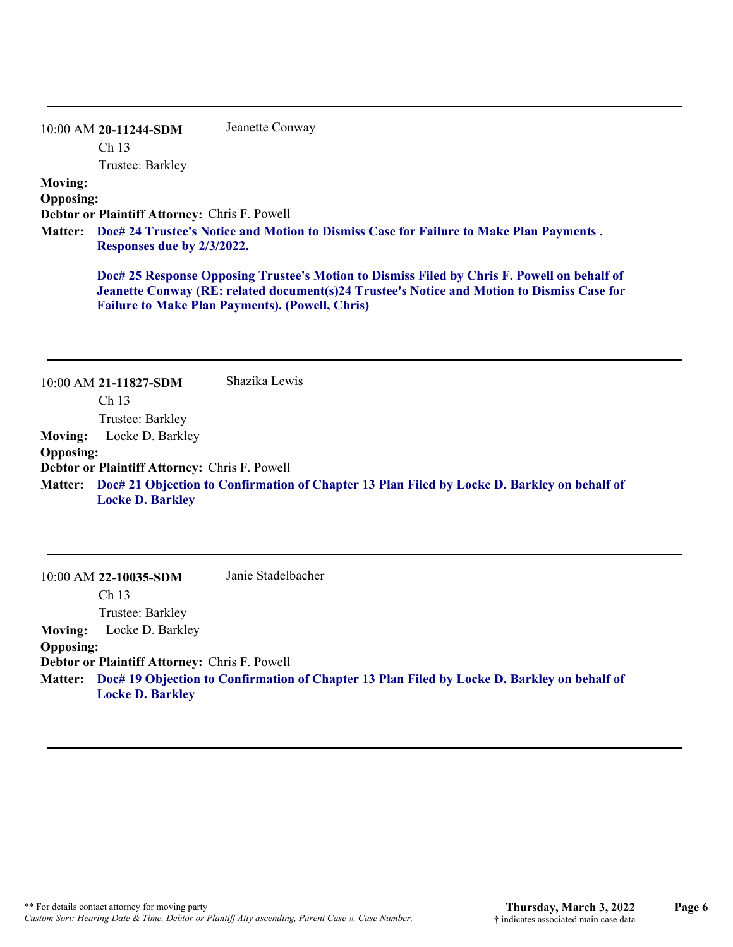| 10:00 AM 20-11244-SDM | Jeanette Conway |
|-----------------------|-----------------|
| Ch <sub>13</sub>      |                 |

Trustee: Barkley

## **Moving:**

**Opposing:**

**Debtor or Plaintiff Attorney:** Chris F. Powell

**Doc# 24 Trustee's Notice and Motion to Dismiss Case for Failure to Make Plan Payments . Matter: Responses due by 2/3/2022.**

**Doc# 25 Response Opposing Trustee's Motion to Dismiss Filed by Chris F. Powell on behalf of Jeanette Conway (RE: related document(s)24 Trustee's Notice and Motion to Dismiss Case for Failure to Make Plan Payments). (Powell, Chris)**

|                  | 10:00 AM 21-11827-SDM                                | Shazika Lewis                                                                                       |
|------------------|------------------------------------------------------|-----------------------------------------------------------------------------------------------------|
|                  | Ch <sub>13</sub>                                     |                                                                                                     |
|                  | Trustee: Barkley                                     |                                                                                                     |
| <b>Moving:</b>   | Locke D. Barkley                                     |                                                                                                     |
| <b>Opposing:</b> |                                                      |                                                                                                     |
|                  | <b>Debtor or Plaintiff Attorney: Chris F. Powell</b> |                                                                                                     |
|                  | <b>Locke D. Barkley</b>                              | Matter: Doc# 21 Objection to Confirmation of Chapter 13 Plan Filed by Locke D. Barkley on behalf of |

|                  | $10:00$ AM 22-10035-SDM                              | Janie Stadelbacher                                                                          |
|------------------|------------------------------------------------------|---------------------------------------------------------------------------------------------|
|                  | Ch <sub>13</sub>                                     |                                                                                             |
|                  | Trustee: Barkley                                     |                                                                                             |
| <b>Moving:</b>   | Locke D. Barkley                                     |                                                                                             |
| <b>Opposing:</b> |                                                      |                                                                                             |
|                  | <b>Debtor or Plaintiff Attorney: Chris F. Powell</b> |                                                                                             |
| <b>Matter:</b>   | <b>Locke D. Barkley</b>                              | Doc# 19 Objection to Confirmation of Chapter 13 Plan Filed by Locke D. Barkley on behalf of |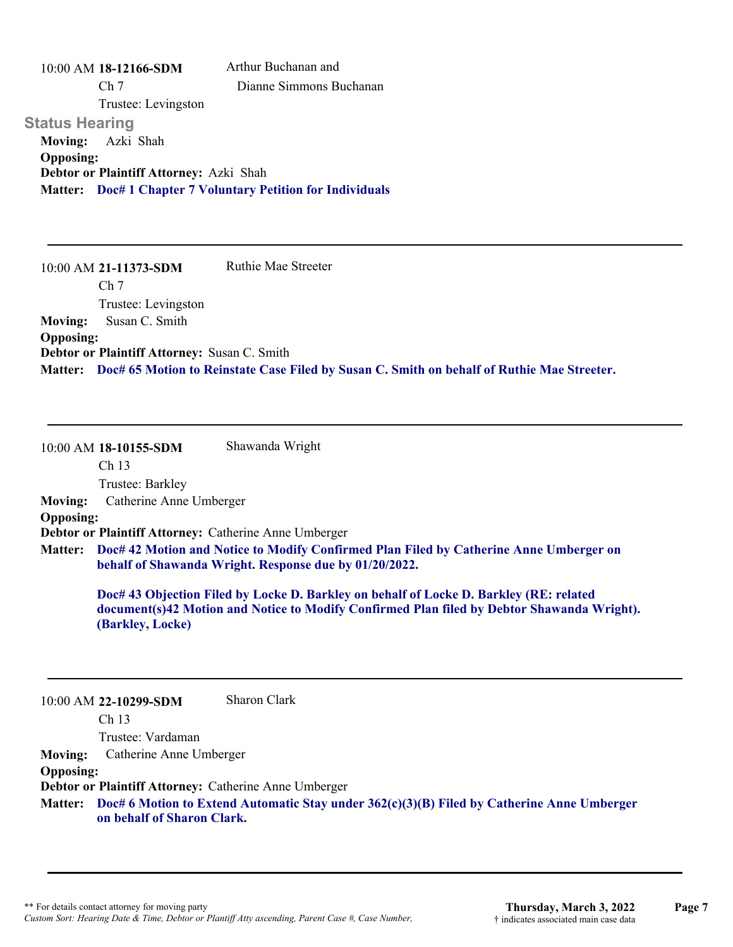10:00 AM **18-12166-SDM**  Ch 7 Trustee: Levingston **Status Hearing**  Arthur Buchanan and Dianne Simmons Buchanan **Moving:** Azki Shah **Opposing: Debtor or Plaintiff Attorney:** Azki Shah **Matter: Doc# 1 Chapter 7 Voluntary Petition for Individuals**

10:00 AM **21-11373-SDM**  Ch 7 Trustee: Levingston Ruthie Mae Streeter **Moving:** Susan C. Smith **Opposing: Debtor or Plaintiff Attorney:** Susan C. Smith **Matter: Doc# 65 Motion to Reinstate Case Filed by Susan C. Smith on behalf of Ruthie Mae Streeter.**

10:00 AM **18-10155-SDM**  Ch 13 Trustee: Barkley Shawanda Wright **Moving:** Catherine Anne Umberger **Opposing: Debtor or Plaintiff Attorney:** Catherine Anne Umberger **Doc# 42 Motion and Notice to Modify Confirmed Plan Filed by Catherine Anne Umberger on Matter: behalf of Shawanda Wright. Response due by 01/20/2022. Doc# 43 Objection Filed by Locke D. Barkley on behalf of Locke D. Barkley (RE: related document(s)42 Motion and Notice to Modify Confirmed Plan filed by Debtor Shawanda Wright). (Barkley, Locke)**

10:00 AM **22-10299-SDM**  Sharon Clark

Ch 13

Trustee: Vardaman

**Moving:** Catherine Anne Umberger

**Opposing:**

**Debtor or Plaintiff Attorney:** Catherine Anne Umberger

**Doc# 6 Motion to Extend Automatic Stay under 362(c)(3)(B) Filed by Catherine Anne Umberger Matter: on behalf of Sharon Clark.**